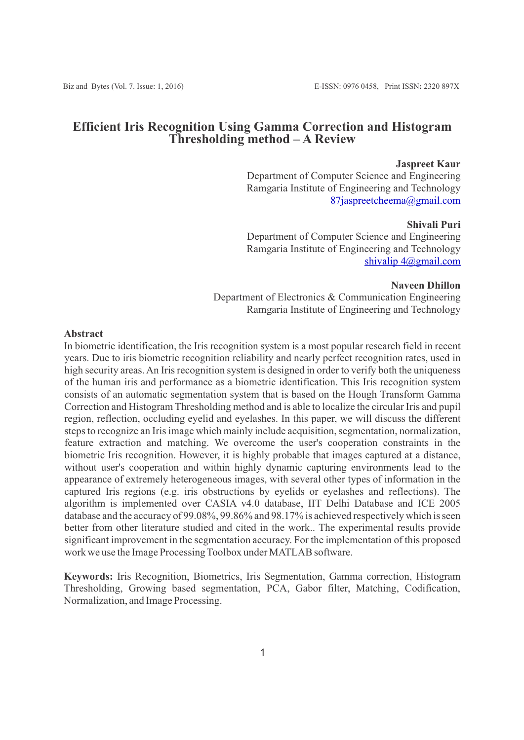## **Efficient Iris Recognition Using Gamma Correction and Histogram Thresholding method – A Review**

#### **Jaspreet Kaur**

Department of Computer Science and Engineering Ramgaria Institute of Engineering and Technology [87jaspreetcheema@gmail.com](mailto:87jaspreetcheema@gmail.com)

**Shivali Puri** Department of Computer Science and Engineering Ramgaria Institute of Engineering and Technology [shivalip 4@gmail.com](mailto:4@gmail.com)

**Naveen Dhillon** Department of Electronics & Communication Engineering Ramgaria Institute of Engineering and Technology

## **Abstract**

In biometric identification, the Iris recognition system is a most popular research field in recent years. Due to iris biometric recognition reliability and nearly perfect recognition rates, used in high security areas. An Iris recognition system is designed in order to verify both the uniqueness of the human iris and performance as a biometric identification. This Iris recognition system consists of an automatic segmentation system that is based on the Hough Transform Gamma Correction and Histogram Thresholding method and is able to localize the circular Iris and pupil region, reflection, occluding eyelid and eyelashes. In this paper, we will discuss the different steps to recognize an Iris image which mainly include acquisition, segmentation, normalization, feature extraction and matching. We overcome the user's cooperation constraints in the biometric Iris recognition. However, it is highly probable that images captured at a distance, without user's cooperation and within highly dynamic capturing environments lead to the appearance of extremely heterogeneous images, with several other types of information in the captured Iris regions (e.g. iris obstructions by eyelids or eyelashes and reflections). The algorithm is implemented over CASIA v4.0 database, IIT Delhi Database and ICE 2005 database and the accuracy of 99.08%, 99.86% and 98.17% is achieved respectively which is seen better from other literature studied and cited in the work.. The experimental results provide significant improvement in the segmentation accuracy. For the implementation of this proposed work we use the Image Processing Toolbox under MATLAB software.

**Keywords:** Iris Recognition, Biometrics, Iris Segmentation, Gamma correction, Histogram Thresholding, Growing based segmentation, PCA, Gabor filter, Matching, Codification, Normalization, and Image Processing.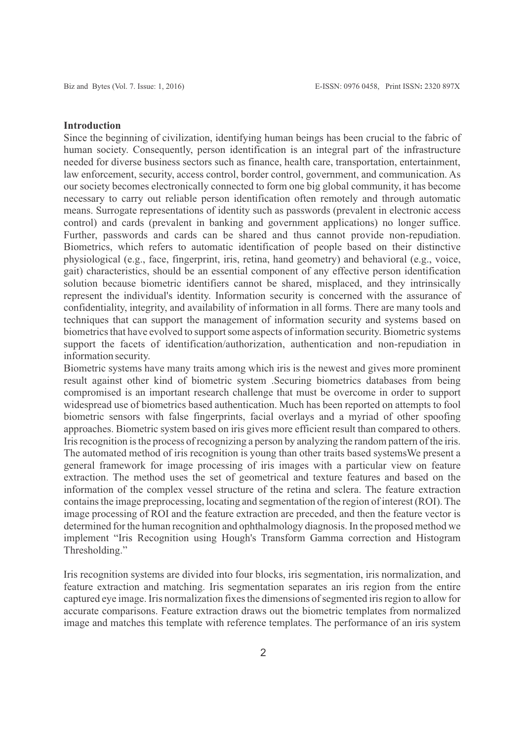#### **Introduction**

Since the beginning of civilization, identifying human beings has been crucial to the fabric of human society. Consequently, person identification is an integral part of the infrastructure needed for diverse business sectors such as finance, health care, transportation, entertainment, law enforcement, security, access control, border control, government, and communication. As our society becomes electronically connected to form one big global community, it has become necessary to carry out reliable person identification often remotely and through automatic means. Surrogate representations of identity such as passwords (prevalent in electronic access control) and cards (prevalent in banking and government applications) no longer suffice. Further, passwords and cards can be shared and thus cannot provide non-repudiation. Biometrics, which refers to automatic identification of people based on their distinctive physiological (e.g., face, fingerprint, iris, retina, hand geometry) and behavioral (e.g., voice, gait) characteristics, should be an essential component of any effective person identification solution because biometric identifiers cannot be shared, misplaced, and they intrinsically represent the individual's identity. Information security is concerned with the assurance of confidentiality, integrity, and availability of information in all forms. There are many tools and techniques that can support the management of information security and systems based on biometrics that have evolved to support some aspects of information security. Biometric systems support the facets of identification/authorization, authentication and non-repudiation in information security.

Biometric systems have many traits among which iris is the newest and gives more prominent result against other kind of biometric system .Securing biometrics databases from being compromised is an important research challenge that must be overcome in order to support widespread use of biometrics based authentication. Much has been reported on attempts to fool biometric sensors with false fingerprints, facial overlays and a myriad of other spoofing approaches. Biometric system based on iris gives more efficient result than compared to others. Iris recognition is the process of recognizing a person by analyzing the random pattern of the iris. The automated method of iris recognition is young than other traits based systemsWe present a general framework for image processing of iris images with a particular view on feature extraction. The method uses the set of geometrical and texture features and based on the information of the complex vessel structure of the retina and sclera. The feature extraction contains the image preprocessing, locating and segmentation of the region of interest (ROI). The image processing of ROI and the feature extraction are preceded, and then the feature vector is determined for the human recognition and ophthalmology diagnosis. In the proposed method we implement "Iris Recognition using Hough's Transform Gamma correction and Histogram Thresholding."

Iris recognition systems are divided into four blocks, iris segmentation, iris normalization, and feature extraction and matching. Iris segmentation separates an iris region from the entire captured eye image. Iris normalization fixes the dimensions of segmented iris region to allow for accurate comparisons. Feature extraction draws out the biometric templates from normalized image and matches this template with reference templates. The performance of an iris system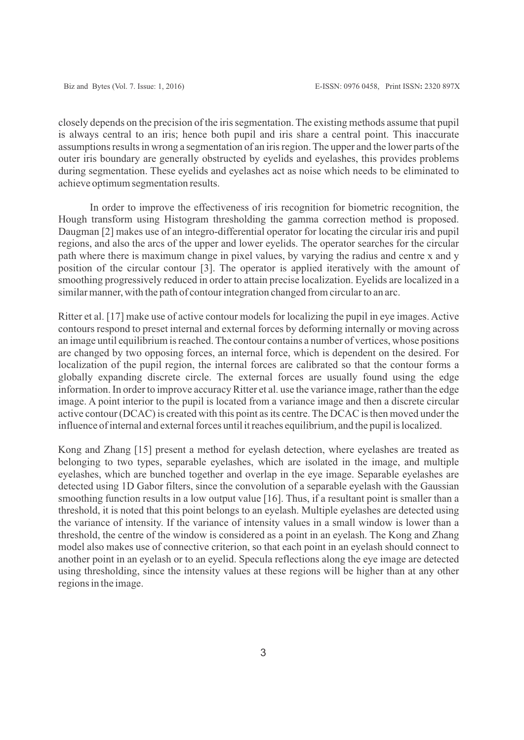closely depends on the precision of the iris segmentation. The existing methods assume that pupil is always central to an iris; hence both pupil and iris share a central point. This inaccurate assumptions results in wrong a segmentation of an iris region. The upper and the lower parts of the outer iris boundary are generally obstructed by eyelids and eyelashes, this provides problems during segmentation. These eyelids and eyelashes act as noise which needs to be eliminated to achieve optimum segmentation results.

 In order to improve the effectiveness of iris recognition for biometric recognition, the Hough transform using Histogram thresholding the gamma correction method is proposed. Daugman [2] makes use of an integro-differential operator for locating the circular iris and pupil regions, and also the arcs of the upper and lower eyelids. The operator searches for the circular path where there is maximum change in pixel values, by varying the radius and centre x and y position of the circular contour [3]. The operator is applied iteratively with the amount of smoothing progressively reduced in order to attain precise localization. Eyelids are localized in a similar manner, with the path of contour integration changed from circular to an arc.

Ritter et al. [17] make use of active contour models for localizing the pupil in eye images. Active contours respond to preset internal and external forces by deforming internally or moving across an image until equilibrium is reached. The contour contains a number of vertices, whose positions are changed by two opposing forces, an internal force, which is dependent on the desired. For localization of the pupil region, the internal forces are calibrated so that the contour forms a globally expanding discrete circle. The external forces are usually found using the edge information. In order to improve accuracy Ritter et al. use the variance image, rather than the edge image. A point interior to the pupil is located from a variance image and then a discrete circular active contour (DCAC) is created with this point as its centre. The DCAC is then moved under the influence of internal and external forces until it reaches equilibrium, and the pupil is localized.

Kong and Zhang [15] present a method for eyelash detection, where eyelashes are treated as belonging to two types, separable eyelashes, which are isolated in the image, and multiple eyelashes, which are bunched together and overlap in the eye image. Separable eyelashes are detected using 1D Gabor filters, since the convolution of a separable eyelash with the Gaussian smoothing function results in a low output value [16]. Thus, if a resultant point is smaller than a threshold, it is noted that this point belongs to an eyelash. Multiple eyelashes are detected using the variance of intensity. If the variance of intensity values in a small window is lower than a threshold, the centre of the window is considered as a point in an eyelash. The Kong and Zhang model also makes use of connective criterion, so that each point in an eyelash should connect to another point in an eyelash or to an eyelid. Specula reflections along the eye image are detected using thresholding, since the intensity values at these regions will be higher than at any other regions in the image.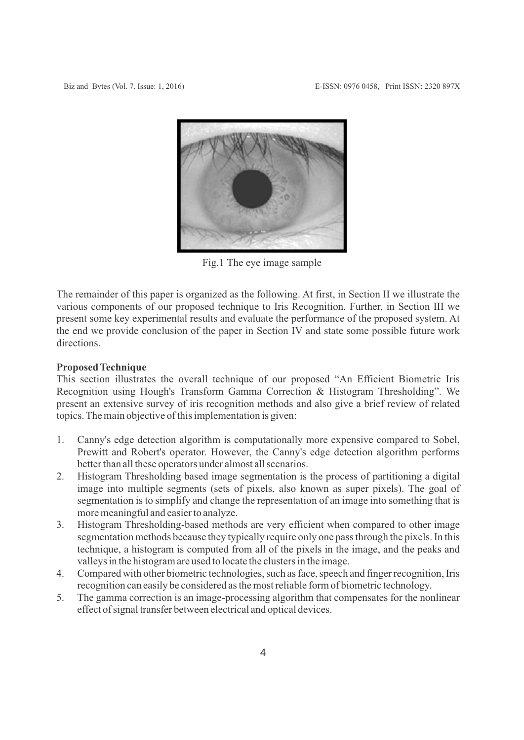

Fig.1 The eye image sample

The remainder of this paper is organized as the following. At first, in Section II we illustrate the various components of our proposed technique to Iris Recognition. Further, in Section III we present some key experimental results and evaluate the performance of the proposed system. At the end we provide conclusion of the paper in Section IV and state some possible future work directions.

### **Proposed Technique**

This section illustrates the overall technique of our proposed "An Efficient Biometric Iris Recognition using Hough's Transform Gamma Correction & Histogram Thresholding". We present an extensive survey of iris recognition methods and also give a brief review of related topics. The main objective of this implementation is given:

- 1. Canny's edge detection algorithm is computationally more expensive compared to Sobel, Prewitt and Robert's operator. However, the Canny's edge detection algorithm performs better than all these operators under almost all scenarios.
- 2. Histogram Thresholding based image segmentation is the process of partitioning a digital image into multiple segments (sets of pixels, also known as super pixels). The goal of segmentation is to simplify and change the representation of an image into something that is more meaningful and easier to analyze.
- 3. Histogram Thresholding-based methods are very efficient when compared to other image segmentation methods because they typically require only one pass through the pixels. In this technique, a histogram is computed from all of the pixels in the image, and the peaks and valleys in the histogram are used to locate the clusters in the image.
- 4. Compared with other biometric technologies, such as face, speech and finger recognition, Iris recognition can easily be considered as the most reliable form of biometric technology.
- 5. The gamma correction is an image-processing algorithm that compensates for the nonlinear effect of signal transfer between electrical and optical devices.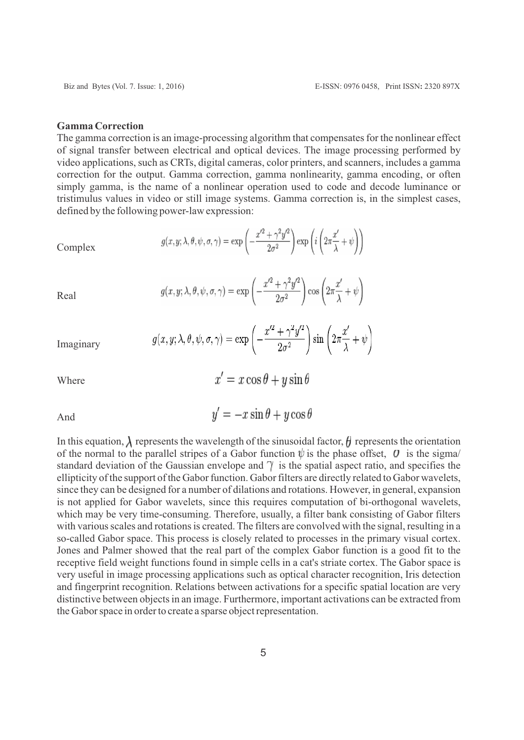#### **Gamma Correction**

Real

Where

The gamma correction is an image-processing algorithm that compensates for the nonlinear effect of signal transfer between electrical and optical devices. The image processing performed by video applications, such as CRTs, digital cameras, color printers, and scanners, includes a gamma correction for the output. Gamma correction, gamma nonlinearity, gamma encoding, or often simply gamma, is the name of a nonlinear operation used to code and decode luminance or tristimulus values in video or still image systems. Gamma correction is, in the simplest cases, defined by the following power-law expression:

Complex  
Complex  

$$
g(x, y; \lambda, \theta, \psi, \sigma, \gamma) = \exp\left(-\frac{x'^2 + \gamma^2 y'^2}{2\sigma^2}\right) \exp\left(i\left(2\pi\frac{x'}{\lambda} + \psi\right)\right)
$$

 $g(x, y; \lambda, \theta, \psi, \sigma, \gamma) = \exp\left(-\frac{x'^2 + \gamma^2 y'^2}{2\sigma^2}\right) \cos\left(2\pi \frac{x'}{\lambda} + \psi\right)$ 

Imaginary 
$$
g(x, y; \lambda, \theta, \psi, \sigma, \gamma) = \exp\left(-\frac{x'^2 + \gamma^2 y'^2}{2\sigma^2}\right) \sin\left(2\pi \frac{x'}{\lambda} + \psi\right)
$$

And 
$$
y' = -x \sin \theta + y \cos \theta
$$

In this equation,  $\lambda$  represents the wavelength of the sinusoidal factor,  $\theta$  represents the orientation of the normal to the parallel stripes of a Gabor function  $\psi$  is the phase offset,  $\theta$  is the sigma/ standard deviation of the Gaussian envelope and  $\gamma$  is the spatial aspect ratio, and specifies the ellipticity of the support of the Gabor function. Gabor filters are directly related to Gabor wavelets, since they can be designed for a number of dilations and rotations. However, in general, expansion is not applied for Gabor wavelets, since this requires computation of bi-orthogonal wavelets, which may be very time-consuming. Therefore, usually, a filter bank consisting of Gabor filters with various scales and rotations is created. The filters are convolved with the signal, resulting in a so-called Gabor space. This process is closely related to processes in the primary visual cortex. Jones and Palmer showed that the real part of the complex Gabor function is a good fit to the receptive field weight functions found in simple cells in a cat's striate cortex. The Gabor space is very useful in image processing applications such as optical character recognition, Iris detection and fingerprint recognition. Relations between activations for a specific spatial location are very distinctive between objects in an image. Furthermore, important activations can be extracted from the Gabor space in order to create a sparse object representation.

 $x' = x \cos \theta + y \sin \theta$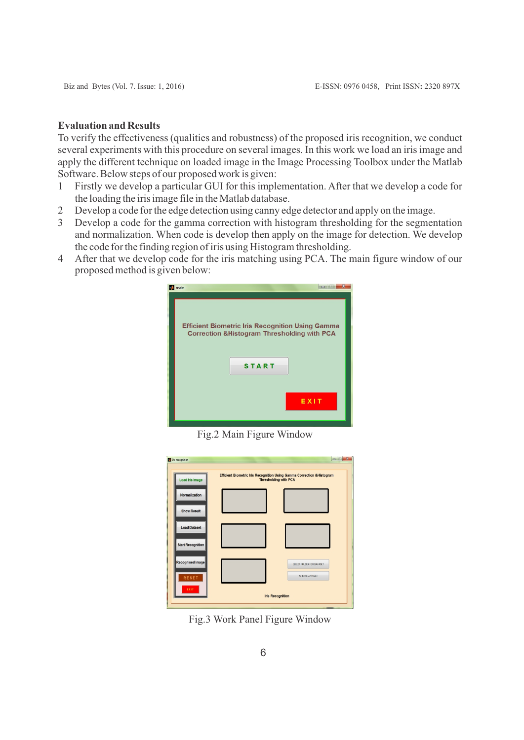## **Evaluation and Results**

To verify the effectiveness (qualities and robustness) of the proposed iris recognition, we conduct several experiments with this procedure on several images. In this work we load an iris image and apply the different technique on loaded image in the Image Processing Toolbox under the Matlab Software. Below steps of our proposed work is given:

- 1 Firstly we develop a particular GUI for this implementation. After that we develop a code for the loading the iris image file in the Matlab database.
- 2 Develop a code for the edge detection using canny edge detector and apply on the image.
- 3 Develop a code for the gamma correction with histogram thresholding for the segmentation and normalization. When code is develop then apply on the image for detection. We develop the code for the finding region of iris using Histogram thresholding.
- 4 After that we develop code for the iris matching using PCA. The main figure window of our proposed method is given below:



Fig.2 Main Figure Window

| <b>Load Iris Image</b>   | Efficient Biometric Iris Recognition Using Gamma Correction & Histogram<br><b>Thresholding with PCA</b> |                           |
|--------------------------|---------------------------------------------------------------------------------------------------------|---------------------------|
| Normalization            |                                                                                                         |                           |
| <b>Show Result</b>       |                                                                                                         |                           |
| <b>Load Dataset</b>      |                                                                                                         |                           |
| <b>Start Recognition</b> |                                                                                                         |                           |
| Recognised Image         |                                                                                                         | SELECT FOLDER FOR DATASET |
| RESET                    |                                                                                                         | CREATE DATASET            |

Fig.3 Work Panel Figure Window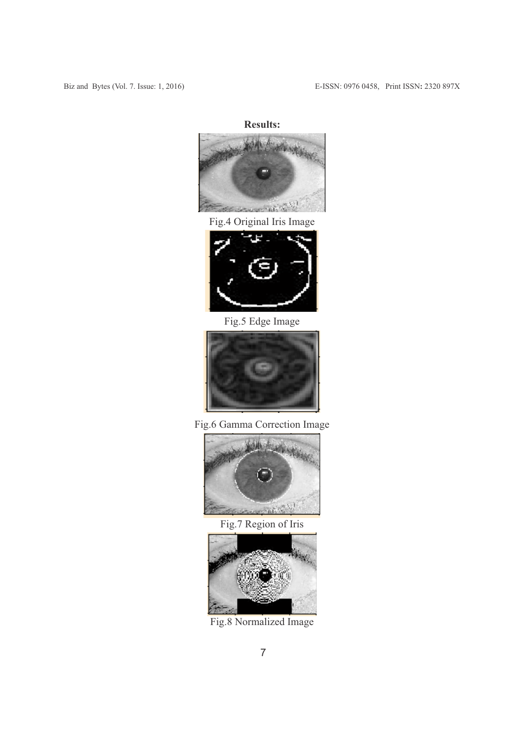# **Results:**



Fig.4 Original Iris Image



Fig.5 Edge Image



Fig.6 Gamma Correction Image



Fig.7 Region of Iris



Fig.8 Normalized Image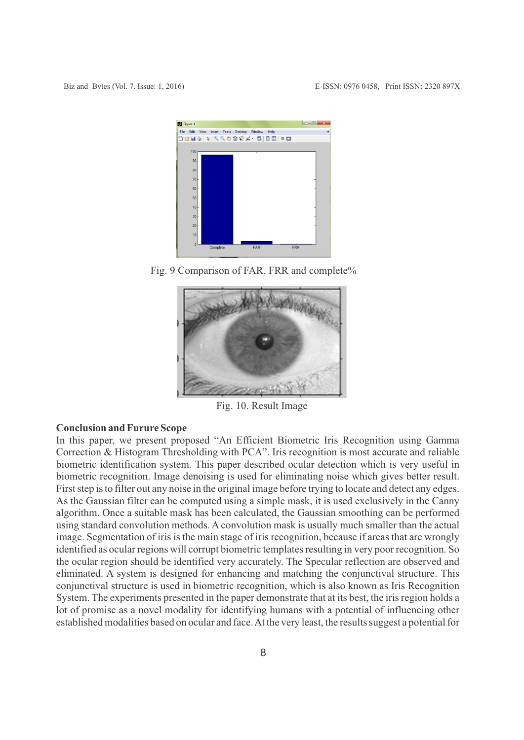

Fig. 9 Comparison of FAR, FRR and complete%



Fig. 10. Result Image

## **Conclusion and Furure Scope**

In this paper, we present proposed "An Efficient Biometric Iris Recognition using Gamma Correction & Histogram Thresholding with PCA". Iris recognition is most accurate and reliable biometric identification system. This paper described ocular detection which is very useful in biometric recognition. Image denoising is used for eliminating noise which gives better result. First step is to filter out any noise in the original image before trying to locate and detect any edges. As the Gaussian filter can be computed using a simple mask, it is used exclusively in the Canny algorithm. Once a suitable mask has been calculated, the Gaussian smoothing can be performed using standard convolution methods. A convolution mask is usually much smaller than the actual image. Segmentation of iris is the main stage of iris recognition, because if areas that are wrongly identified as ocular regions will corrupt biometric templates resulting in very poor recognition. So the ocular region should be identified very accurately. The Specular reflection are observed and eliminated. A system is designed for enhancing and matching the conjunctival structure. This conjunctival structure is used in biometric recognition, which is also known as Iris Recognition System. The experiments presented in the paper demonstrate that at its best, the iris region holds a lot of promise as a novel modality for identifying humans with a potential of influencing other established modalities based on ocular and face. At the very least, the results suggest a potential for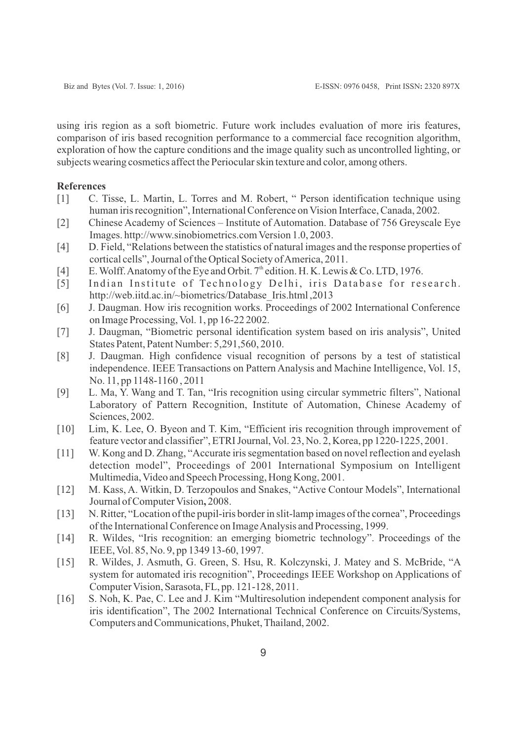using iris region as a soft biometric. Future work includes evaluation of more iris features, comparison of iris based recognition performance to a commercial face recognition algorithm, exploration of how the capture conditions and the image quality such as uncontrolled lighting, or subjects wearing cosmetics affect the Periocular skin texture and color, among others.

## **References**

- [1] C. Tisse, L. Martin, L. Torres and M. Robert, " Person identification technique using human iris recognition", International Conference on Vision Interface, Canada, 2002.
- [2] Chinese Academy of Sciences Institute of Automation. Database of 756 Greyscale Eye Images. http://www.sinobiometrics.com Version 1.0, 2003.
- [4] D. Field, "Relations between the statistics of natural images and the response properties of cortical cells", Journal of the Optical Society of America, 2011.
- [4] E. Wolff. Anatomy of the Eye and Orbit.  $7<sup>th</sup>$  edition. H. K. Lewis & Co. LTD, 1976.
- [5] Indian Institute of Technology Delhi, iris Database for research. http://web.iitd.ac.in/~biometrics/Database\_Iris.html ,2013
- [6] J. Daugman. How iris recognition works. Proceedings of 2002 International Conference on Image Processing, Vol. 1, pp 16-22 2002.
- [7] J. Daugman, "Biometric personal identification system based on iris analysis", United States Patent, Patent Number: 5,291,560, 2010.
- [8] J. Daugman. High confidence visual recognition of persons by a test of statistical independence. IEEE Transactions on Pattern Analysis and Machine Intelligence, Vol. 15, No. 11, pp 1148-1160 , 2011
- [9] L. Ma, Y. Wang and T. Tan, "Iris recognition using circular symmetric filters", National Laboratory of Pattern Recognition, Institute of Automation, Chinese Academy of Sciences, 2002.
- [10] Lim, K. Lee, O. Byeon and T. Kim, "Efficient iris recognition through improvement of feature vector and classifier", ETRI Journal, Vol. 23, No. 2, Korea, pp 1220-1225, 2001.
- [11] W. Kong and D. Zhang, "Accurate iris segmentation based on novel reflection and eyelash detection model", Proceedings of 2001 International Symposium on Intelligent Multimedia, Video and Speech Processing, Hong Kong, 2001.
- [12] M. Kass, A. Witkin, D. Terzopoulos and Snakes, "Active Contour Models", International Journal of Computer Vision**,** 2008.
- [13] N. Ritter, "Location of the pupil-iris border in slit-lamp images of the cornea", Proceedings of the International Conference on Image Analysis and Processing, 1999.
- [14] R. Wildes, "Iris recognition: an emerging biometric technology". Proceedings of the IEEE, Vol. 85, No. 9, pp 1349 13-60, 1997.
- [15] R. Wildes, J. Asmuth, G. Green, S. Hsu, R. Kolczynski, J. Matey and S. McBride, "A system for automated iris recognition", Proceedings IEEE Workshop on Applications of Computer Vision, Sarasota, FL, pp. 121-128, 2011.
- [16] S. Noh, K. Pae, C. Lee and J. Kim "Multiresolution independent component analysis for iris identification", The 2002 International Technical Conference on Circuits/Systems, Computers and Communications, Phuket, Thailand, 2002.